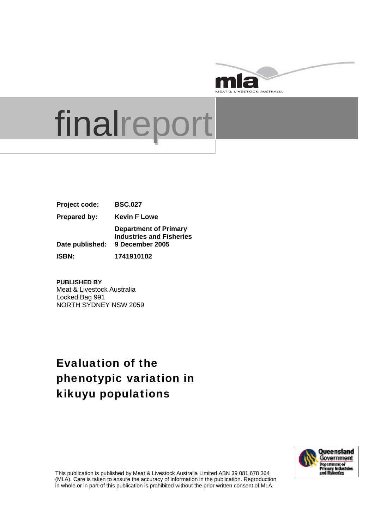

# finalreport

| Project code:       | <b>BSC.027</b>                                                                     |  |  |
|---------------------|------------------------------------------------------------------------------------|--|--|
| <b>Prepared by:</b> | <b>Kevin F Lowe</b>                                                                |  |  |
| Date published:     | <b>Department of Primary</b><br><b>Industries and Fisheries</b><br>9 December 2005 |  |  |
| <b>ISBN:</b>        | 1741910102                                                                         |  |  |

**PUBLISHED BY**  Meat & Livestock Australia Locked Bag 991 NORTH SYDNEY NSW 2059

## Evaluation of the phenotypic variation in kikuyu populations



This publication is published by Meat & Livestock Australia Limited ABN 39 081 678 364 (MLA). Care is taken to ensure the accuracy of information in the publication. Reproduction in whole or in part of this publication is prohibited without the prior written consent of MLA.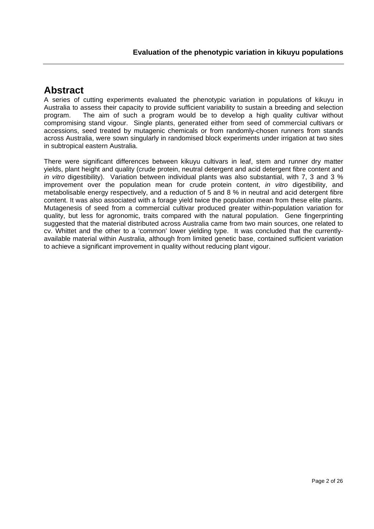## **Abstract**

A series of cutting experiments evaluated the phenotypic variation in populations of kikuyu in Australia to assess their capacity to provide sufficient variability to sustain a breeding and selection program. The aim of such a program would be to develop a high quality cultivar without compromising stand vigour. Single plants, generated either from seed of commercial cultivars or accessions, seed treated by mutagenic chemicals or from randomly-chosen runners from stands across Australia, were sown singularly in randomised block experiments under irrigation at two sites in subtropical eastern Australia.

There were significant differences between kikuyu cultivars in leaf, stem and runner dry matter yields, plant height and quality (crude protein, neutral detergent and acid detergent fibre content and *in vitro* digestibility). Variation between individual plants was also substantial, with 7, 3 and 3 % improvement over the population mean for crude protein content, *in vitro* digestibility, and metabolisable energy respectively, and a reduction of 5 and 8 % in neutral and acid detergent fibre content. It was also associated with a forage yield twice the population mean from these elite plants. Mutagenesis of seed from a commercial cultivar produced greater within-population variation for quality, but less for agronomic, traits compared with the natural population. Gene fingerprinting suggested that the material distributed across Australia came from two main sources, one related to cv. Whittet and the other to a 'common' lower yielding type. It was concluded that the currentlyavailable material within Australia, although from limited genetic base, contained sufficient variation to achieve a significant improvement in quality without reducing plant vigour.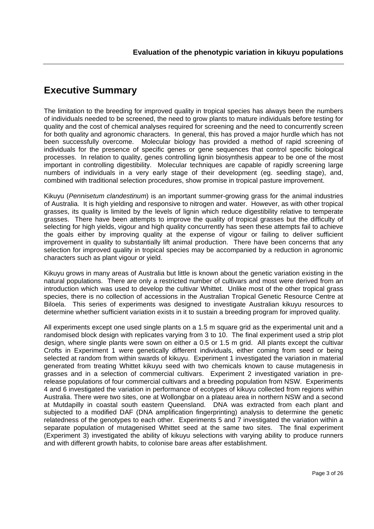## **Executive Summary**

The limitation to the breeding for improved quality in tropical species has always been the numbers of individuals needed to be screened, the need to grow plants to mature individuals before testing for quality and the cost of chemical analyses required for screening and the need to concurrently screen for both quality and agronomic characters. In general, this has proved a major hurdle which has not been successfully overcome. Molecular biology has provided a method of rapid screening of individuals for the presence of specific genes or gene sequences that control specific biological processes. In relation to quality, genes controlling lignin biosynthesis appear to be one of the most important in controlling digestibility. Molecular techniques are capable of rapidly screening large numbers of individuals in a very early stage of their development (eg. seedling stage), and, combined with traditional selection procedures, show promise in tropical pasture improvement.

Kikuyu (*Pennisetum clandestinum*) is an important summer-growing grass for the animal industries of Australia. It is high yielding and responsive to nitrogen and water. However, as with other tropical grasses, its quality is limited by the levels of lignin which reduce digestibility relative to temperate grasses. There have been attempts to improve the quality of tropical grasses but the difficulty of selecting for high yields, vigour and high quality concurrently has seen these attempts fail to achieve the goals either by improving quality at the expense of vigour or failing to deliver sufficient improvement in quality to substantially lift animal production. There have been concerns that any selection for improved quality in tropical species may be accompanied by a reduction in agronomic characters such as plant vigour or yield.

Kikuyu grows in many areas of Australia but little is known about the genetic variation existing in the natural populations. There are only a restricted number of cultivars and most were derived from an introduction which was used to develop the cultivar Whittet. Unlike most of the other tropical grass species, there is no collection of accessions in the Australian Tropical Genetic Resource Centre at Biloela. This series of experiments was designed to investigate Australian kikuyu resources to determine whether sufficient variation exists in it to sustain a breeding program for improved quality.

All experiments except one used single plants on a 1.5 m square grid as the experimental unit and a randomised block design with replicates varying from 3 to 10. The final experiment used a strip plot design, where single plants were sown on either a 0.5 or 1.5 m grid. All plants except the cultivar Crofts in Experiment 1 were genetically different individuals, either coming from seed or being selected at random from within swards of kikuyu. Experiment 1 investigated the variation in material generated from treating Whittet kikuyu seed with two chemicals known to cause mutagenesis in grasses and in a selection of commercial cultivars. Experiment 2 investigated variation in prerelease populations of four commercial cultivars and a breeding population from NSW. Experiments 4 and 6 investigated the variation in performance of ecotypes of kikuyu collected from regions within Australia. There were two sites, one at Wollongbar on a plateau area in northern NSW and a second at Mutdapilly in coastal south eastern Queensland. DNA was extracted from each plant and subjected to a modified DAF (DNA amplification fingerprinting) analysis to determine the genetic relatedness of the genotypes to each other. Experiments 5 and 7 investigated the variation within a separate population of mutagenised Whittet seed at the same two sites. The final experiment (Experiment 3) investigated the ability of kikuyu selections with varying ability to produce runners and with different growth habits, to colonise bare areas after establishment.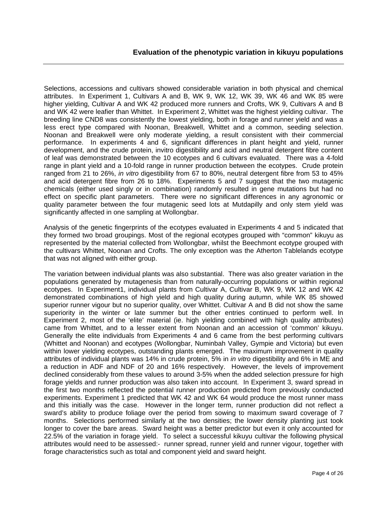Selections, accessions and cultivars showed considerable variation in both physical and chemical attributes. In Experiment 1, Cultivars A and B, WK 9, WK 12, WK 39, WK 46 and WK 85 were higher yielding, Cultivar A and WK 42 produced more runners and Crofts, WK 9, Cultivars A and B and WK 42 were leafier than Whittet. In Experiment 2, Whittet was the highest yielding cultivar. The breeding line CND8 was consistently the lowest yielding, both in forage and runner yield and was a less erect type compared with Noonan, Breakwell, Whittet and a common, seeding selection. Noonan and Breakwell were only moderate yielding, a result consistent with their commercial performance. In experiments 4 and 6, significant differences in plant height and yield, runner development, and the crude protein, invitro digestibility and acid and neutral detergent fibre content of leaf was demonstrated between the 10 ecotypes and 6 cultivars evaluated. There was a 4-fold range in plant yield and a 10-fold range in runner production between the ecotypes. Crude protein ranged from 21 to 26%, *in vitro* digestibility from 67 to 80%, neutral detergent fibre from 53 to 45% and acid detergent fibre from 26 to 18%. Experiments 5 and 7 suggest that the two mutagenic chemicals (either used singly or in combination) randomly resulted in gene mutations but had no effect on specific plant parameters. There were no significant differences in any agronomic or quality parameter between the four mutagenic seed lots at Mutdapilly and only stem yield was significantly affected in one sampling at Wollongbar.

Analysis of the genetic fingerprints of the ecotypes evaluated in Experiments 4 and 5 indicated that they formed two broad groupings. Most of the regional ecotypes grouped with "common" kikuyu as represented by the material collected from Wollongbar, whilst the Beechmont ecotype grouped with the cultivars Whittet, Noonan and Crofts. The only exception was the Atherton Tablelands ecotype that was not aligned with either group.

The variation between individual plants was also substantial. There was also greater variation in the populations generated by mutagenesis than from naturally-occurring populations or within regional ecotypes. In Experiment1, individual plants from Cultivar A, Cultivar B, WK 9, WK 12 and WK 42 demonstrated combinations of high yield and high quality during autumn, while WK 85 showed superior runner vigour but no superior quality, over Whittet. Cultivar A and B did not show the same superiority in the winter or late summer but the other entries continued to perform well. In Experiment 2, most of the 'elite' material (ie. high yielding combined with high quality attributes) came from Whittet, and to a lesser extent from Noonan and an accession of 'common' kikuyu. Generally the elite individuals from Experiments 4 and 6 came from the best performing cultivars (Whittet and Noonan) and ecotypes (Wollongbar, Numinbah Valley, Gympie and Victoria) but even within lower yielding ecotypes, outstanding plants emerged. The maximum improvement in quality attributes of individual plants was 14% in crude protein, 5% in *in vitro* digestibility and 6% in ME and a reduction in ADF and NDF of 20 and 16% respectively. However, the levels of improvement declined considerably from these values to around 3-5% when the added selection pressure for high forage yields and runner production was also taken into account. In Experiment 3, sward spread in the first two months reflected the potential runner production predicted from previously conducted experiments. Experiment 1 predicted that WK 42 and WK 64 would produce the most runner mass and this initially was the case. However in the longer term, runner production did not reflect a sward's ability to produce foliage over the period from sowing to maximum sward coverage of 7 months. Selections performed similarly at the two densities; the lower density planting just took longer to cover the bare areas. Sward height was a better predictor but even it only accounted for 22.5% of the variation in forage yield. To select a successful kikuyu cultivar the following physical attributes would need to be assessed:- runner spread, runner yield and runner vigour, together with forage characteristics such as total and component yield and sward height.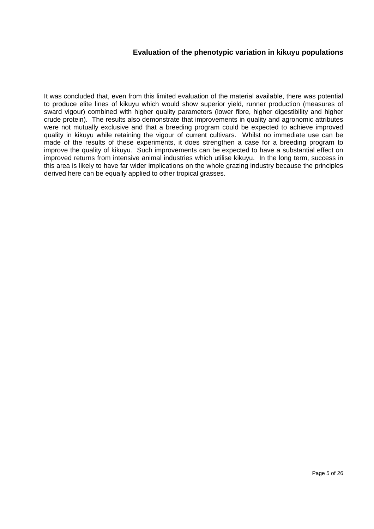It was concluded that, even from this limited evaluation of the material available, there was potential to produce elite lines of kikuyu which would show superior yield, runner production (measures of sward vigour) combined with higher quality parameters (lower fibre, higher digestibility and higher crude protein). The results also demonstrate that improvements in quality and agronomic attributes were not mutually exclusive and that a breeding program could be expected to achieve improved quality in kikuyu while retaining the vigour of current cultivars. Whilst no immediate use can be made of the results of these experiments, it does strengthen a case for a breeding program to improve the quality of kikuyu. Such improvements can be expected to have a substantial effect on improved returns from intensive animal industries which utilise kikuyu. In the long term, success in this area is likely to have far wider implications on the whole grazing industry because the principles derived here can be equally applied to other tropical grasses.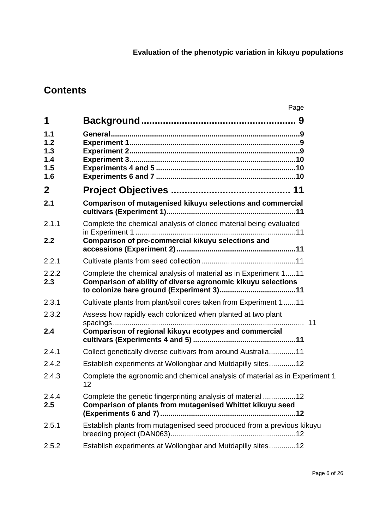## **Contents**

|                                        | Page                                                                                                                            |
|----------------------------------------|---------------------------------------------------------------------------------------------------------------------------------|
| 1                                      |                                                                                                                                 |
| 1.1<br>1.2<br>1.3<br>1.4<br>1.5<br>1.6 |                                                                                                                                 |
| $\mathbf{2}$                           |                                                                                                                                 |
| 2.1                                    | Comparison of mutagenised kikuyu selections and commercial                                                                      |
| 2.1.1                                  | Complete the chemical analysis of cloned material being evaluated                                                               |
| 2.2                                    | Comparison of pre-commercial kikuyu selections and                                                                              |
| 2.2.1                                  |                                                                                                                                 |
| 2.2.2<br>2.3                           | Complete the chemical analysis of material as in Experiment 111<br>Comparison of ability of diverse agronomic kikuyu selections |
| 2.3.1                                  | Cultivate plants from plant/soil cores taken from Experiment 111                                                                |
| 2.3.2                                  | Assess how rapidly each colonized when planted at two plant                                                                     |
| 2.4                                    | Comparison of regional kikuyu ecotypes and commercial                                                                           |
| 2.4.1                                  | Collect genetically diverse cultivars from around Australia11                                                                   |
| 2.4.2                                  | Establish experiments at Wollongbar and Mutdapilly sites12                                                                      |
| 2.4.3                                  | Complete the agronomic and chemical analysis of material as in Experiment 1<br>12 <sub>2</sub>                                  |
| 2.4.4<br>2.5                           | Complete the genetic fingerprinting analysis of material 12<br>Comparison of plants from mutagenised Whittet kikuyu seed        |
| 2.5.1                                  | Establish plants from mutagenised seed produced from a previous kikuyu                                                          |
| 2.5.2                                  | Establish experiments at Wollongbar and Mutdapilly sites12                                                                      |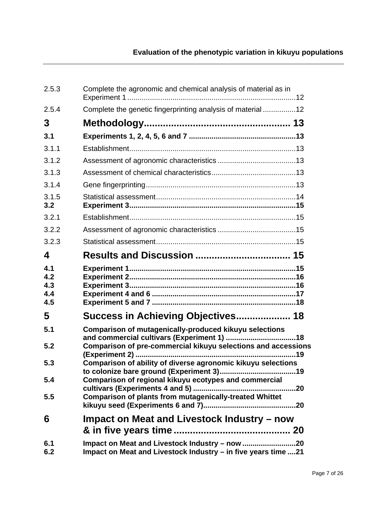| 2.5.3                           | Complete the agronomic and chemical analysis of material as in |
|---------------------------------|----------------------------------------------------------------|
| 2.5.4                           | Complete the genetic fingerprinting analysis of material 12    |
| 3                               |                                                                |
| 3.1                             |                                                                |
| 3.1.1                           |                                                                |
| 3.1.2                           |                                                                |
| 3.1.3                           |                                                                |
| 3.1.4                           |                                                                |
| 3.1.5<br>3.2                    |                                                                |
| 3.2.1                           |                                                                |
| 3.2.2                           |                                                                |
| 3.2.3                           |                                                                |
| 4                               |                                                                |
| 4.1<br>4.2<br>4.3<br>4.4<br>4.5 |                                                                |
| 5                               | Success in Achieving Objectives 18                             |
| 5.1                             | <b>Comparison of mutagenically-produced kikuyu selections</b>  |
| 5.2                             | Comparison of pre-commercial kikuyu selections and accessions  |
| 5.3                             | Comparison of ability of diverse agronomic kikuyu selections   |
| 5.4                             | Comparison of regional kikuyu ecotypes and commercial          |
| 5.5                             | Comparison of plants from mutagenically-treated Whittet        |
| 6                               | Impact on Meat and Livestock Industry – now                    |
| 6.1<br>6.2                      | Impact on Meat and Livestock Industry - in five years time 21  |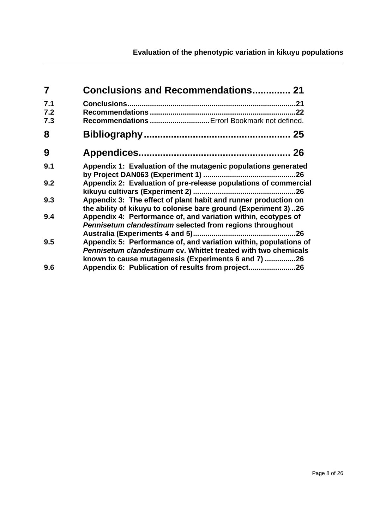| Evaluation of the phenotypic variation in kikuyu populations |  |  |
|--------------------------------------------------------------|--|--|
|--------------------------------------------------------------|--|--|

| 7                 | <b>Conclusions and Recommendations 21</b>                                                                                                                                                 |
|-------------------|-------------------------------------------------------------------------------------------------------------------------------------------------------------------------------------------|
| 7.1<br>7.2<br>7.3 | .21<br>.22<br>Recommendations  Error! Bookmark not defined.                                                                                                                               |
| 8                 | 25                                                                                                                                                                                        |
| 9                 | 26                                                                                                                                                                                        |
| 9.1               | Appendix 1: Evaluation of the mutagenic populations generated                                                                                                                             |
| 9.2               | Appendix 2: Evaluation of pre-release populations of commercial                                                                                                                           |
| 9.3               | Appendix 3: The effect of plant habit and runner production on<br>the ability of kikuyu to colonise bare ground (Experiment 3)26                                                          |
| 9.4               | Appendix 4: Performance of, and variation within, ecotypes of<br>Pennisetum clandestinum selected from regions throughout                                                                 |
| 9.5               | Appendix 5: Performance of, and variation within, populations of<br>Pennisetum clandestinum cv. Whittet treated with two chemicals<br>known to cause mutagenesis (Experiments 6 and 7) 26 |
| 9.6               | Appendix 6: Publication of results from project                                                                                                                                           |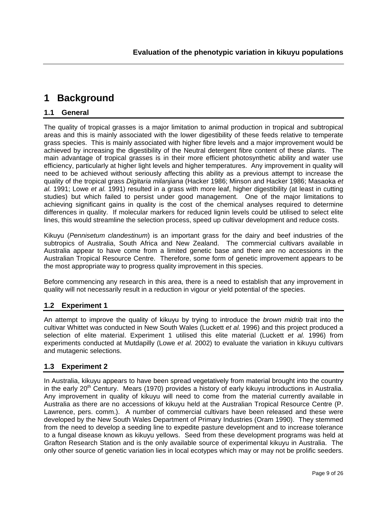## **1 Background**

#### **1.1 General**

The quality of tropical grasses is a major limitation to animal production in tropical and subtropical areas and this is mainly associated with the lower digestibility of these feeds relative to temperate grass species. This is mainly associated with higher fibre levels and a major improvement would be achieved by increasing the digestibility of the Neutral detergent fibre content of these plants. The main advantage of tropical grasses is in their more efficient photosynthetic ability and water use efficiency, particularly at higher light levels and higher temperatures. Any improvement in quality will need to be achieved without seriously affecting this ability as a previous attempt to increase the quality of the tropical grass *Digitaria milanjiana* (Hacker 1986; Minson and Hacker 1986; Masaoka *et al.* 1991; Lowe *et al.* 1991) resulted in a grass with more leaf, higher digestibility (at least in cutting studies) but which failed to persist under good management. One of the major limitations to achieving significant gains in quality is the cost of the chemical analyses required to determine differences in quality. If molecular markers for reduced lignin levels could be utilised to select elite lines, this would streamline the selection process, speed up cultivar development and reduce costs.

Kikuyu (*Pennisetum clandestinum*) is an important grass for the dairy and beef industries of the subtropics of Australia, South Africa and New Zealand. The commercial cultivars available in Australia appear to have come from a limited genetic base and there are no accessions in the Australian Tropical Resource Centre. Therefore, some form of genetic improvement appears to be the most appropriate way to progress quality improvement in this species.

Before commencing any research in this area, there is a need to establish that any improvement in quality will not necessarily result in a reduction in vigour or yield potential of the species.

#### **1.2 Experiment 1**

An attempt to improve the quality of kikuyu by trying to introduce the *brown midrib* trait into the cultivar Whittet was conducted in New South Wales (Luckett *et al.* 1996) and this project produced a selection of elite material. Experiment 1 utilised this elite material (Luckett *et al.* 1996) from experiments conducted at Mutdapilly (Lowe *et al.* 2002) to evaluate the variation in kikuyu cultivars and mutagenic selections.

#### **1.3 Experiment 2**

In Australia, kikuyu appears to have been spread vegetatively from material brought into the country in the early 20<sup>th</sup> Century. Mears (1970) provides a history of early kikuyu introductions in Australia. Any improvement in quality of kikuyu will need to come from the material currently available in Australia as there are no accessions of kikuyu held at the Australian Tropical Resource Centre (P. Lawrence, pers. comm.). A number of commercial cultivars have been released and these were developed by the New South Wales Department of Primary Industries (Oram 1990). They stemmed from the need to develop a seeding line to expedite pasture development and to increase tolerance to a fungal disease known as kikuyu yellows. Seed from these development programs was held at Grafton Research Station and is the only available source of experimental kikuyu in Australia. The only other source of genetic variation lies in local ecotypes which may or may not be prolific seeders.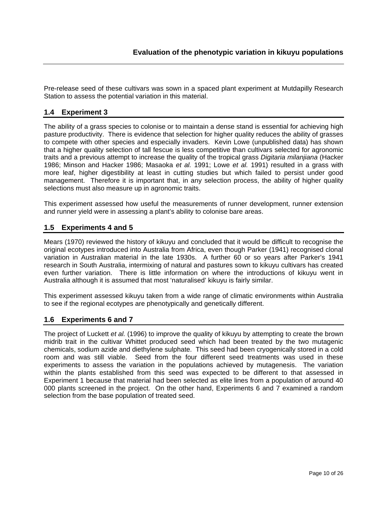Pre-release seed of these cultivars was sown in a spaced plant experiment at Mutdapilly Research Station to assess the potential variation in this material.

#### **1.4 Experiment 3**

The ability of a grass species to colonise or to maintain a dense stand is essential for achieving high pasture productivity. There is evidence that selection for higher quality reduces the ability of grasses to compete with other species and especially invaders. Kevin Lowe (unpublished data) has shown that a higher quality selection of tall fescue is less competitive than cultivars selected for agronomic traits and a previous attempt to increase the quality of the tropical grass *Digitaria milanjiana* (Hacker 1986; Minson and Hacker 1986; Masaoka *et al.* 1991; Lowe *et al.* 1991) resulted in a grass with more leaf, higher digestibility at least in cutting studies but which failed to persist under good management. Therefore it is important that, in any selection process, the ability of higher quality selections must also measure up in agronomic traits.

This experiment assessed how useful the measurements of runner development, runner extension and runner yield were in assessing a plant's ability to colonise bare areas.

#### **1.5 Experiments 4 and 5**

Mears (1970) reviewed the history of kikuyu and concluded that it would be difficult to recognise the original ecotypes introduced into Australia from Africa, even though Parker (1941) recognised clonal variation in Australian material in the late 1930s. A further 60 or so years after Parker's 1941 research in South Australia, intermixing of natural and pastures sown to kikuyu cultivars has created even further variation. There is little information on where the introductions of kikuyu went in Australia although it is assumed that most 'naturalised' kikuyu is fairly similar.

This experiment assessed kikuyu taken from a wide range of climatic environments within Australia to see if the regional ecotypes are phenotypically and genetically different.

#### **1.6 Experiments 6 and 7**

The project of Luckett *et al.* (1996) to improve the quality of kikuyu by attempting to create the brown midrib trait in the cultivar Whittet produced seed which had been treated by the two mutagenic chemicals, sodium azide and diethylene sulphate. This seed had been cryogenically stored in a cold room and was still viable. Seed from the four different seed treatments was used in these experiments to assess the variation in the populations achieved by mutagenesis. The variation within the plants established from this seed was expected to be different to that assessed in Experiment 1 because that material had been selected as elite lines from a population of around 40 000 plants screened in the project. On the other hand, Experiments 6 and 7 examined a random selection from the base population of treated seed.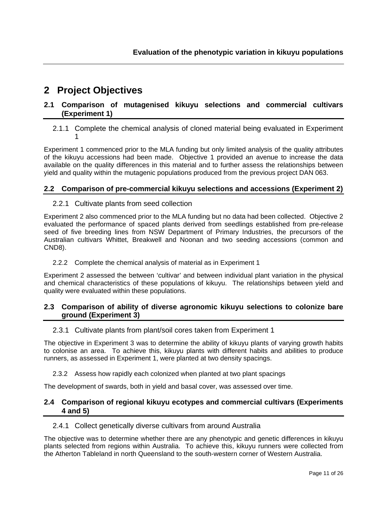## **2 Project Objectives**

#### **2.1 Comparison of mutagenised kikuyu selections and commercial cultivars (Experiment 1)**

2.1.1 Complete the chemical analysis of cloned material being evaluated in Experiment 1

Experiment 1 commenced prior to the MLA funding but only limited analysis of the quality attributes of the kikuyu accessions had been made. Objective 1 provided an avenue to increase the data available on the quality differences in this material and to further assess the relationships between yield and quality within the mutagenic populations produced from the previous project DAN 063.

#### **2.2 Comparison of pre-commercial kikuyu selections and accessions (Experiment 2)**

#### 2.2.1 Cultivate plants from seed collection

Experiment 2 also commenced prior to the MLA funding but no data had been collected. Objective 2 evaluated the performance of spaced plants derived from seedlings established from pre-release seed of five breeding lines from NSW Department of Primary Industries, the precursors of the Australian cultivars Whittet, Breakwell and Noonan and two seeding accessions (common and CND8).

2.2.2 Complete the chemical analysis of material as in Experiment 1

Experiment 2 assessed the between 'cultivar' and between individual plant variation in the physical and chemical characteristics of these populations of kikuyu. The relationships between yield and quality were evaluated within these populations.

#### **2.3 Comparison of ability of diverse agronomic kikuyu selections to colonize bare ground (Experiment 3)**

#### 2.3.1 Cultivate plants from plant/soil cores taken from Experiment 1

The objective in Experiment 3 was to determine the ability of kikuyu plants of varying growth habits to colonise an area. To achieve this, kikuyu plants with different habits and abilities to produce runners, as assessed in Experiment 1, were planted at two density spacings.

2.3.2 Assess how rapidly each colonized when planted at two plant spacings

The development of swards, both in yield and basal cover, was assessed over time.

#### **2.4 Comparison of regional kikuyu ecotypes and commercial cultivars (Experiments 4 and 5)**

#### 2.4.1 Collect genetically diverse cultivars from around Australia

The objective was to determine whether there are any phenotypic and genetic differences in kikuyu plants selected from regions within Australia. To achieve this, kikuyu runners were collected from the Atherton Tableland in north Queensland to the south-western corner of Western Australia.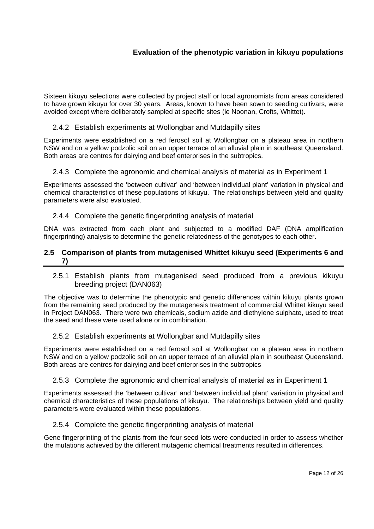Sixteen kikuyu selections were collected by project staff or local agronomists from areas considered to have grown kikuyu for over 30 years. Areas, known to have been sown to seeding cultivars, were avoided except where deliberately sampled at specific sites (ie Noonan, Crofts, Whittet).

#### 2.4.2 Establish experiments at Wollongbar and Mutdapilly sites

Experiments were established on a red ferosol soil at Wollongbar on a plateau area in northern NSW and on a yellow podzolic soil on an upper terrace of an alluvial plain in southeast Queensland. Both areas are centres for dairying and beef enterprises in the subtropics.

2.4.3 Complete the agronomic and chemical analysis of material as in Experiment 1

Experiments assessed the 'between cultivar' and 'between individual plant' variation in physical and chemical characteristics of these populations of kikuyu. The relationships between yield and quality parameters were also evaluated.

#### 2.4.4 Complete the genetic fingerprinting analysis of material

DNA was extracted from each plant and subjected to a modified DAF (DNA amplification fingerprinting) analysis to determine the genetic relatedness of the genotypes to each other.

#### **2.5 Comparison of plants from mutagenised Whittet kikuyu seed (Experiments 6 and 7)**

2.5.1 Establish plants from mutagenised seed produced from a previous kikuyu breeding project (DAN063)

The objective was to determine the phenotypic and genetic differences within kikuyu plants grown from the remaining seed produced by the mutagenesis treatment of commercial Whittet kikuyu seed in Project DAN063. There were two chemicals, sodium azide and diethylene sulphate, used to treat the seed and these were used alone or in combination.

#### 2.5.2 Establish experiments at Wollongbar and Mutdapilly sites

Experiments were established on a red ferosol soil at Wollongbar on a plateau area in northern NSW and on a yellow podzolic soil on an upper terrace of an alluvial plain in southeast Queensland. Both areas are centres for dairying and beef enterprises in the subtropics

#### 2.5.3 Complete the agronomic and chemical analysis of material as in Experiment 1

Experiments assessed the 'between cultivar' and 'between individual plant' variation in physical and chemical characteristics of these populations of kikuyu. The relationships between yield and quality parameters were evaluated within these populations.

#### 2.5.4 Complete the genetic fingerprinting analysis of material

Gene fingerprinting of the plants from the four seed lots were conducted in order to assess whether the mutations achieved by the different mutagenic chemical treatments resulted in differences.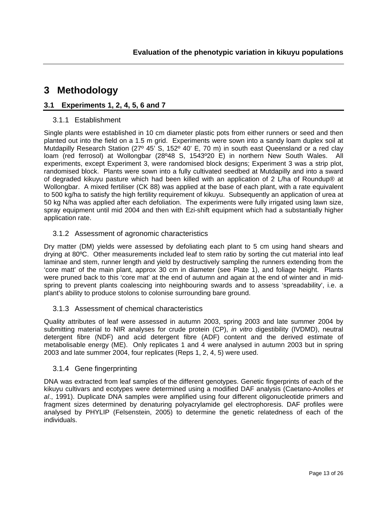## **3 Methodology**

#### **3.1 Experiments 1, 2, 4, 5, 6 and 7**

#### 3.1.1 Establishment

Single plants were established in 10 cm diameter plastic pots from either runners or seed and then planted out into the field on a 1.5 m grid. Experiments were sown into a sandy loam duplex soil at Mutdapilly Research Station (27º 45' S, 152º 40' E, 70 m) in south east Queensland or a red clay loam (red ferrosol) at Wollongbar (28º48 S, 1543º20 E) in northern New South Wales. All experiments, except Experiment 3, were randomised block designs; Experiment 3 was a strip plot, randomised block. Plants were sown into a fully cultivated seedbed at Mutdapilly and into a sward of degraded kikuyu pasture which had been killed with an application of 2 L/ha of Roundup® at Wollongbar. A mixed fertiliser (CK 88) was applied at the base of each plant, with a rate equivalent to 500 kg/ha to satisfy the high fertility requirement of kikuyu. Subsequently an application of urea at 50 kg N/ha was applied after each defoliation. The experiments were fully irrigated using lawn size, spray equipment until mid 2004 and then with Ezi-shift equipment which had a substantially higher application rate.

#### 3.1.2 Assessment of agronomic characteristics

Dry matter (DM) yields were assessed by defoliating each plant to 5 cm using hand shears and drying at 80ºC. Other measurements included leaf to stem ratio by sorting the cut material into leaf laminae and stem, runner length and yield by destructively sampling the runners extending from the 'core matt' of the main plant, approx 30 cm in diameter (see Plate 1), and foliage height. Plants were pruned back to this 'core mat' at the end of autumn and again at the end of winter and in midspring to prevent plants coalescing into neighbouring swards and to assess 'spreadability', i.e. a plant's ability to produce stolons to colonise surrounding bare ground.

#### 3.1.3 Assessment of chemical characteristics

Quality attributes of leaf were assessed in autumn 2003, spring 2003 and late summer 2004 by submitting material to NIR analyses for crude protein (CP), *in vitro* digestibility (IVDMD), neutral detergent fibre (NDF) and acid detergent fibre (ADF) content and the derived estimate of metabolisable energy (ME). Only replicates 1 and 4 were analysed in autumn 2003 but in spring 2003 and late summer 2004, four replicates (Reps 1, 2, 4, 5) were used.

#### 3.1.4 Gene fingerprinting

DNA was extracted from leaf samples of the different genotypes. Genetic fingerprints of each of the kikuyu cultivars and ecotypes were determined using a modified DAF analysis (Caetano-Anolles *et al*., 1991). Duplicate DNA samples were amplified using four different oligonucleotide primers and fragment sizes determined by denaturing polyacrylamide gel electrophoresis. DAF profiles were analysed by PHYLIP (Felsenstein, 2005) to determine the genetic relatedness of each of the individuals.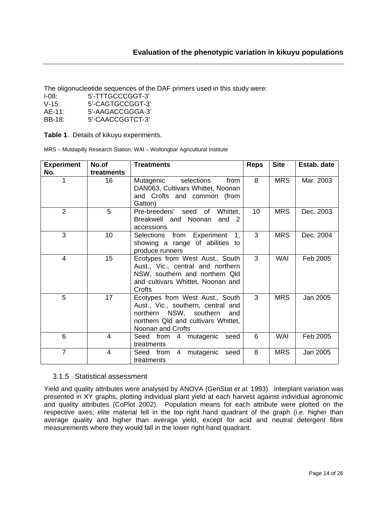The oligonucleotide sequences of the DAF primers used in this study were:

| I-08:     | 5'-TTTGCCCGGT-3' |
|-----------|------------------|
| $V-15$ :  | 5'-CAGTGCCGGT-3' |
| $AE-11$ : | 5'-AAGACCGGGA-3' |
| BB-18:    | 5'-CAACCGGTCT-3' |

**Table 1**. Details of kikuyu experiments.

| MRS - Mutdapilly Research Station, WAI - Wollongbar Agricultural Institute |  |  |  |
|----------------------------------------------------------------------------|--|--|--|
|----------------------------------------------------------------------------|--|--|--|

| <b>Experiment</b><br>No. | No.of<br>treatments | <b>Treatments</b>                                                                                                                                                  | <b>Reps</b> | <b>Site</b> | Estab. date |
|--------------------------|---------------------|--------------------------------------------------------------------------------------------------------------------------------------------------------------------|-------------|-------------|-------------|
|                          | 16                  | selections<br>Mutagenic<br>from<br>DAN063, Cultivars Whittet, Noonan<br>and Crofts and common (from<br>Gatton)                                                     | 8           | <b>MRS</b>  | Mar. 2003   |
| $\overline{2}$           | 5                   | Pre-breeders' seed<br>of Whittet,<br>Breakwell and Noonan<br>and<br>accessions                                                                                     | 10          | <b>MRS</b>  | Dec. 2003   |
| 3                        | 10                  | Selections from Experiment<br>1.<br>showing a range of abilities to<br>produce runners                                                                             | 3           | <b>MRS</b>  | Dec. 2004   |
| 4                        | 15                  | Ecotypes from West Aust., South<br>Aust., Vic., central and northern<br>NSW, southern and northern Qld<br>and cultivars Whittet, Noonan and<br>Crofts              | 3           | WAI         | Feb 2005    |
| 5                        | 17                  | Ecotypes from West Aust., South<br>Aust., Vic., southern, central and<br>northern NSW, southern<br>and<br>northern Qld and cultivars Whittet,<br>Noonan and Crofts | 3           | <b>MRS</b>  | Jan 2005    |
| 6                        | 4                   | Seed from 4<br>mutagenic<br>seed<br>treatments                                                                                                                     | 6           | WAI         | Feb 2005    |
| $\overline{7}$           | 4                   | Seed<br>from<br>4<br>mutagenic<br>seed<br>treatments                                                                                                               | 8           | <b>MRS</b>  | Jan 2005    |

#### 3.1.5 Statistical assessment

Yield and quality attributes were analysed by ANOVA (GenStat *et al.* 1993). Interplant variation was presented in XY graphs, plotting individual plant yield at each harvest against individual agronomic and quality attributes (CoPlot 2002). Population means for each attribute were plotted on the respective axes; elite material fell in the top right hand quadrant of the graph (i.e. higher than average quality and higher than average yield, except for acid and neutral detergent fibre measurements where they would fall in the lower right hand quadrant.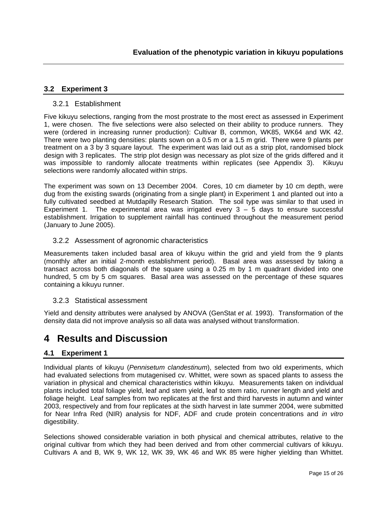#### **3.2 Experiment 3**

#### 3.2.1 Establishment

Five kikuyu selections, ranging from the most prostrate to the most erect as assessed in Experiment 1, were chosen. The five selections were also selected on their ability to produce runners. They were (ordered in increasing runner production): Cultivar B, common, WK85, WK64 and WK 42. There were two planting densities: plants sown on a 0.5 m or a 1.5 m grid. There were 9 plants per treatment on a 3 by 3 square layout. The experiment was laid out as a strip plot, randomised block design with 3 replicates. The strip plot design was necessary as plot size of the grids differed and it was impossible to randomly allocate treatments within replicates (see Appendix 3). Kikuyu selections were randomly allocated within strips.

The experiment was sown on 13 December 2004. Cores, 10 cm diameter by 10 cm depth, were dug from the existing swards (originating from a single plant) in Experiment 1 and planted out into a fully cultivated seedbed at Mutdapilly Research Station. The soil type was similar to that used in Experiment 1. The experimental area was irrigated every  $3 - 5$  days to ensure successful establishment. Irrigation to supplement rainfall has continued throughout the measurement period (January to June 2005).

#### 3.2.2 Assessment of agronomic characteristics

Measurements taken included basal area of kikuyu within the grid and yield from the 9 plants (monthly after an initial 2-month establishment period). Basal area was assessed by taking a transact across both diagonals of the square using a 0.25 m by 1 m quadrant divided into one hundred, 5 cm by 5 cm squares. Basal area was assessed on the percentage of these squares containing a kikuyu runner.

#### 3.2.3 Statistical assessment

Yield and density attributes were analysed by ANOVA (GenStat *et al.* 1993). Transformation of the density data did not improve analysis so all data was analysed without transformation.

## **4 Results and Discussion**

#### **4.1 Experiment 1**

Individual plants of kikuyu (*Pennisetum clandestinum*), selected from two old experiments, which had evaluated selections from mutagenised cv. Whittet, were sown as spaced plants to assess the variation in physical and chemical characteristics within kikuyu. Measurements taken on individual plants included total foliage yield, leaf and stem yield, leaf to stem ratio, runner length and yield and foliage height. Leaf samples from two replicates at the first and third harvests in autumn and winter 2003, respectively and from four replicates at the sixth harvest in late summer 2004, were submitted for Near Infra Red (NIR) analysis for NDF, ADF and crude protein concentrations and *in vitro* digestibility.

Selections showed considerable variation in both physical and chemical attributes, relative to the original cultivar from which they had been derived and from other commercial cultivars of kikuyu. Cultivars A and B, WK 9, WK 12, WK 39, WK 46 and WK 85 were higher yielding than Whittet.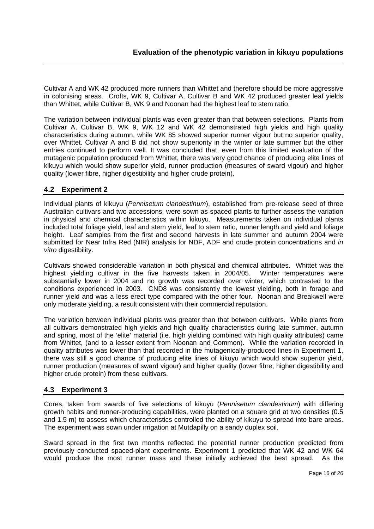Cultivar A and WK 42 produced more runners than Whittet and therefore should be more aggressive in colonising areas. Crofts, WK 9, Cultivar A, Cultivar B and WK 42 produced greater leaf yields than Whittet, while Cultivar B, WK 9 and Noonan had the highest leaf to stem ratio.

The variation between individual plants was even greater than that between selections. Plants from Cultivar A, Cultivar B, WK 9, WK 12 and WK 42 demonstrated high yields and high quality characteristics during autumn, while WK 85 showed superior runner vigour but no superior quality, over Whittet. Cultivar A and B did not show superiority in the winter or late summer but the other entries continued to perform well. It was concluded that, even from this limited evaluation of the mutagenic population produced from Whittet, there was very good chance of producing elite lines of kikuyu which would show superior yield, runner production (measures of sward vigour) and higher quality (lower fibre, higher digestibility and higher crude protein).

#### **4.2 Experiment 2**

Individual plants of kikuyu (*Pennisetum clandestinum*), established from pre-release seed of three Australian cultivars and two accessions, were sown as spaced plants to further assess the variation in physical and chemical characteristics within kikuyu. Measurements taken on individual plants included total foliage yield, leaf and stem yield, leaf to stem ratio, runner length and yield and foliage height. Leaf samples from the first and second harvests in late summer and autumn 2004 were submitted for Near Infra Red (NIR) analysis for NDF, ADF and crude protein concentrations and *in vitro* digestibility.

Cultivars showed considerable variation in both physical and chemical attributes. Whittet was the highest yielding cultivar in the five harvests taken in 2004/05. Winter temperatures were substantially lower in 2004 and no growth was recorded over winter, which contrasted to the conditions experienced in 2003. CND8 was consistently the lowest yielding, both in forage and runner yield and was a less erect type compared with the other four. Noonan and Breakwell were only moderate yielding, a result consistent with their commercial reputation.

The variation between individual plants was greater than that between cultivars. While plants from all cultivars demonstrated high yields and high quality characteristics during late summer, autumn and spring, most of the 'elite' material (i.e. high yielding combined with high quality attributes) came from Whittet, (and to a lesser extent from Noonan and Common). While the variation recorded in quality attributes was lower than that recorded in the mutagenically-produced lines in Experiment 1, there was still a good chance of producing elite lines of kikuyu which would show superior yield, runner production (measures of sward vigour) and higher quality (lower fibre, higher digestibility and higher crude protein) from these cultivars.

#### **4.3 Experiment 3**

Cores, taken from swards of five selections of kikuyu (*Pennisetum clandestinum*) with differing growth habits and runner-producing capabilities, were planted on a square grid at two densities (0.5 and 1.5 m) to assess which characteristics controlled the ability of kikuyu to spread into bare areas. The experiment was sown under irrigation at Mutdapilly on a sandy duplex soil.

Sward spread in the first two months reflected the potential runner production predicted from previously conducted spaced-plant experiments. Experiment 1 predicted that WK 42 and WK 64 would produce the most runner mass and these initially achieved the best spread. As the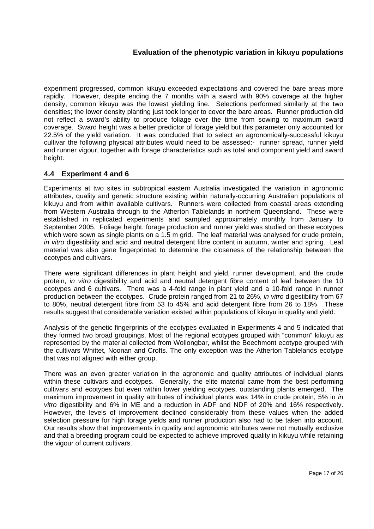experiment progressed, common kikuyu exceeded expectations and covered the bare areas more rapidly. However, despite ending the 7 months with a sward with 90% coverage at the higher density, common kikuyu was the lowest yielding line. Selections performed similarly at the two densities; the lower density planting just took longer to cover the bare areas. Runner production did not reflect a sward's ability to produce foliage over the time from sowing to maximum sward coverage. Sward height was a better predictor of forage yield but this parameter only accounted for 22.5% of the yield variation. It was concluded that to select an agronomically-successful kikuyu cultivar the following physical attributes would need to be assessed:- runner spread, runner yield and runner vigour, together with forage characteristics such as total and component yield and sward height.

#### **4.4 Experiment 4 and 6**

Experiments at two sites in subtropical eastern Australia investigated the variation in agronomic attributes, quality and genetic structure existing within naturally-occurring Australian populations of kikuyu and from within available cultivars. Runners were collected from coastal areas extending from Western Australia through to the Atherton Tablelands in northern Queensland. These were established in replicated experiments and sampled approximately monthly from January to September 2005. Foliage height, forage production and runner yield was studied on these ecotypes which were sown as single plants on a 1.5 m grid. The leaf material was analysed for crude protein, *in vitro* digestibility and acid and neutral detergent fibre content in autumn, winter and spring. Leaf material was also gene fingerprinted to determine the closeness of the relationship between the ecotypes and cultivars.

There were significant differences in plant height and yield, runner development, and the crude protein, *in vitro* digestibility and acid and neutral detergent fibre content of leaf between the 10 ecotypes and 6 cultivars. There was a 4-fold range in plant yield and a 10-fold range in runner production between the ecotypes. Crude protein ranged from 21 to 26%, *in vitro* digestibility from 67 to 80%, neutral detergent fibre from 53 to 45% and acid detergent fibre from 26 to 18%. These results suggest that considerable variation existed within populations of kikuyu in quality and yield.

Analysis of the genetic fingerprints of the ecotypes evaluated in Experiments 4 and 5 indicated that they formed two broad groupings. Most of the regional ecotypes grouped with "common" kikuyu as represented by the material collected from Wollongbar, whilst the Beechmont ecotype grouped with the cultivars Whittet, Noonan and Crofts. The only exception was the Atherton Tablelands ecotype that was not aligned with either group.

There was an even greater variation in the agronomic and quality attributes of individual plants within these cultivars and ecotypes. Generally, the elite material came from the best performing cultivars and ecotypes but even within lower yielding ecotypes, outstanding plants emerged. The maximum improvement in quality attributes of individual plants was 14% in crude protein, 5% in *in vitro* digestibility and 6% in ME and a reduction in ADF and NDF of 20% and 16% respectively. However, the levels of improvement declined considerably from these values when the added selection pressure for high forage yields and runner production also had to be taken into account. Our results show that improvements in quality and agronomic attributes were not mutually exclusive and that a breeding program could be expected to achieve improved quality in kikuyu while retaining the vigour of current cultivars.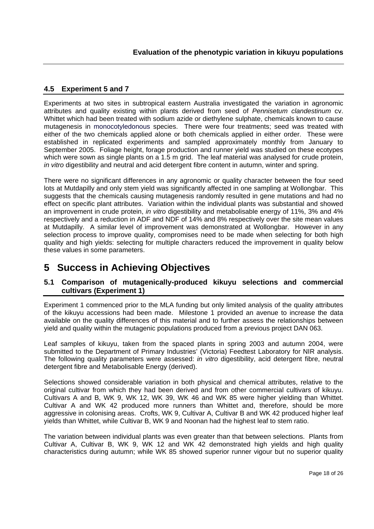#### **4.5 Experiment 5 and 7**

Experiments at two sites in subtropical eastern Australia investigated the variation in agronomic attributes and quality existing within plants derived from seed of *Pennisetum clandestinum* cv. Whittet which had been treated with sodium azide or diethylene sulphate, chemicals known to cause mutagenesis in monocotyledonous species. There were four treatments; seed was treated with either of the two chemicals applied alone or both chemicals applied in either order. These were established in replicated experiments and sampled approximately monthly from January to September 2005. Foliage height, forage production and runner yield was studied on these ecotypes which were sown as single plants on a 1.5 m grid. The leaf material was analysed for crude protein, *in vitro* digestibility and neutral and acid detergent fibre content in autumn, winter and spring.

There were no significant differences in any agronomic or quality character between the four seed lots at Mutdapilly and only stem yield was significantly affected in one sampling at Wollongbar. This suggests that the chemicals causing mutagenesis randomly resulted in gene mutations and had no effect on specific plant attributes. Variation within the individual plants was substantial and showed an improvement in crude protein, *in vitro* digestibility and metabolisable energy of 11%, 3% and 4% respectively and a reduction in ADF and NDF of 14% and 8% respectively over the site mean values at Mutdapilly. A similar level of improvement was demonstrated at Wollongbar. However in any selection process to improve quality, compromises need to be made when selecting for both high quality and high yields: selecting for multiple characters reduced the improvement in quality below these values in some parameters.

## **5 Success in Achieving Objectives**

#### **5.1 Comparison of mutagenically-produced kikuyu selections and commercial cultivars (Experiment 1)**

Experiment 1 commenced prior to the MLA funding but only limited analysis of the quality attributes of the kikuyu accessions had been made. Milestone 1 provided an avenue to increase the data available on the quality differences of this material and to further assess the relationships between yield and quality within the mutagenic populations produced from a previous project DAN 063.

Leaf samples of kikuyu, taken from the spaced plants in spring 2003 and autumn 2004, were submitted to the Department of Primary Industries' (Victoria) Feedtest Laboratory for NIR analysis. The following quality parameters were assessed: *in vitro* digestibility, acid detergent fibre, neutral detergent fibre and Metabolisable Energy (derived).

Selections showed considerable variation in both physical and chemical attributes, relative to the original cultivar from which they had been derived and from other commercial cultivars of kikuyu. Cultivars A and B, WK 9, WK 12, WK 39, WK 46 and WK 85 were higher yielding than Whittet. Cultivar A and WK 42 produced more runners than Whittet and, therefore, should be more aggressive in colonising areas. Crofts, WK 9, Cultivar A, Cultivar B and WK 42 produced higher leaf yields than Whittet, while Cultivar B, WK 9 and Noonan had the highest leaf to stem ratio.

The variation between individual plants was even greater than that between selections. Plants from Cultivar A, Cultivar B, WK 9, WK 12 and WK 42 demonstrated high yields and high quality characteristics during autumn; while WK 85 showed superior runner vigour but no superior quality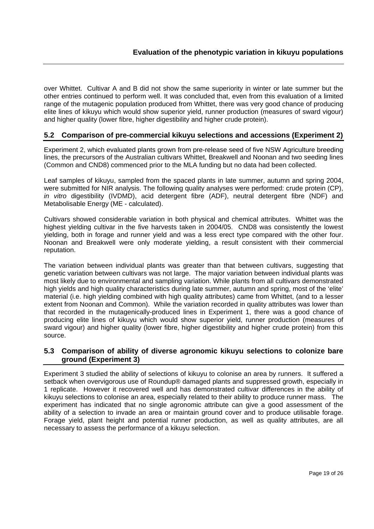over Whittet. Cultivar A and B did not show the same superiority in winter or late summer but the other entries continued to perform well. It was concluded that, even from this evaluation of a limited range of the mutagenic population produced from Whittet, there was very good chance of producing elite lines of kikuyu which would show superior yield, runner production (measures of sward vigour) and higher quality (lower fibre, higher digestibility and higher crude protein).

#### **5.2 Comparison of pre-commercial kikuyu selections and accessions (Experiment 2)**

Experiment 2, which evaluated plants grown from pre-release seed of five NSW Agriculture breeding lines, the precursors of the Australian cultivars Whittet, Breakwell and Noonan and two seeding lines (Common and CND8) commenced prior to the MLA funding but no data had been collected.

Leaf samples of kikuyu, sampled from the spaced plants in late summer, autumn and spring 2004, were submitted for NIR analysis. The following quality analyses were performed: crude protein (CP), *in vitro* digestibility (IVDMD), acid detergent fibre (ADF), neutral detergent fibre (NDF) and Metabolisable Energy (ME - calculated).

Cultivars showed considerable variation in both physical and chemical attributes. Whittet was the highest yielding cultivar in the five harvests taken in 2004/05. CND8 was consistently the lowest yielding, both in forage and runner yield and was a less erect type compared with the other four. Noonan and Breakwell were only moderate yielding, a result consistent with their commercial reputation.

The variation between individual plants was greater than that between cultivars, suggesting that genetic variation between cultivars was not large. The major variation between individual plants was most likely due to environmental and sampling variation. While plants from all cultivars demonstrated high yields and high quality characteristics during late summer, autumn and spring, most of the 'elite' material (i.e. high yielding combined with high quality attributes) came from Whittet, (and to a lesser extent from Noonan and Common). While the variation recorded in quality attributes was lower than that recorded in the mutagenically-produced lines in Experiment 1, there was a good chance of producing elite lines of kikuyu which would show superior yield, runner production (measures of sward vigour) and higher quality (lower fibre, higher digestibility and higher crude protein) from this source.

#### **5.3 Comparison of ability of diverse agronomic kikuyu selections to colonize bare ground (Experiment 3)**

Experiment 3 studied the ability of selections of kikuyu to colonise an area by runners. It suffered a setback when overvigorous use of Roundup® damaged plants and suppressed growth, especially in 1 replicate. However it recovered well and has demonstrated cultivar differences in the ability of kikuyu selections to colonise an area, especially related to their ability to produce runner mass. The experiment has indicated that no single agronomic attribute can give a good assessment of the ability of a selection to invade an area or maintain ground cover and to produce utilisable forage. Forage yield, plant height and potential runner production, as well as quality attributes, are all necessary to assess the performance of a kikuyu selection.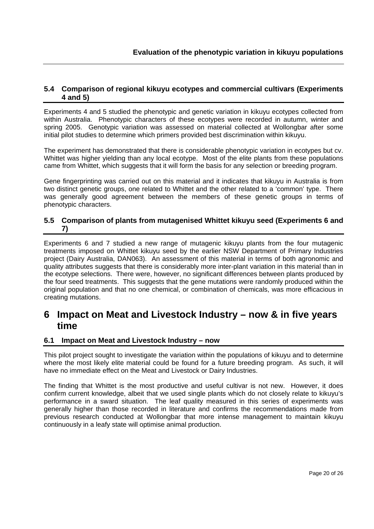#### **5.4 Comparison of regional kikuyu ecotypes and commercial cultivars (Experiments 4 and 5)**

Experiments 4 and 5 studied the phenotypic and genetic variation in kikuyu ecotypes collected from within Australia. Phenotypic characters of these ecotypes were recorded in autumn, winter and spring 2005. Genotypic variation was assessed on material collected at Wollongbar after some initial pilot studies to determine which primers provided best discrimination within kikuyu.

The experiment has demonstrated that there is considerable phenotypic variation in ecotypes but cv. Whittet was higher yielding than any local ecotype. Most of the elite plants from these populations came from Whittet, which suggests that it will form the basis for any selection or breeding program.

Gene fingerprinting was carried out on this material and it indicates that kikuyu in Australia is from two distinct genetic groups, one related to Whittet and the other related to a 'common' type. There was generally good agreement between the members of these genetic groups in terms of phenotypic characters.

#### **5.5 Comparison of plants from mutagenised Whittet kikuyu seed (Experiments 6 and 7)**

Experiments 6 and 7 studied a new range of mutagenic kikuyu plants from the four mutagenic treatments imposed on Whittet kikuyu seed by the earlier NSW Department of Primary Industries project (Dairy Australia, DAN063). An assessment of this material in terms of both agronomic and quality attributes suggests that there is considerably more inter-plant variation in this material than in the ecotype selections. There were, however, no significant differences between plants produced by the four seed treatments. This suggests that the gene mutations were randomly produced within the original population and that no one chemical, or combination of chemicals, was more efficacious in creating mutations.

## **6 Impact on Meat and Livestock Industry – now & in five years time**

#### **6.1 Impact on Meat and Livestock Industry – now**

This pilot project sought to investigate the variation within the populations of kikuyu and to determine where the most likely elite material could be found for a future breeding program. As such, it will have no immediate effect on the Meat and Livestock or Dairy Industries.

The finding that Whittet is the most productive and useful cultivar is not new. However, it does confirm current knowledge, albeit that we used single plants which do not closely relate to kikuyu's performance in a sward situation. The leaf quality measured in this series of experiments was generally higher than those recorded in literature and confirms the recommendations made from previous research conducted at Wollongbar that more intense management to maintain kikuyu continuously in a leafy state will optimise animal production.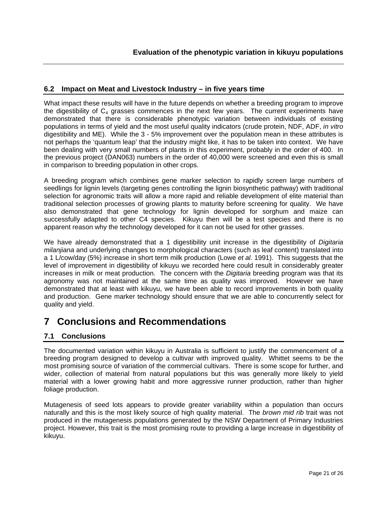#### **6.2 Impact on Meat and Livestock Industry – in five years time**

What impact these results will have in the future depends on whether a breeding program to improve the digestibility of  $C_4$  grasses commences in the next few years. The current experiments have demonstrated that there is considerable phenotypic variation between individuals of existing populations in terms of yield and the most useful quality indicators (crude protein, NDF, ADF, *in vitro* digestibility and ME). While the 3 - 5% improvement over the population mean in these attributes is not perhaps the 'quantum leap' that the industry might like, it has to be taken into context. We have been dealing with very small numbers of plants in this experiment, probably in the order of 400. In the previous project (DAN063) numbers in the order of 40,000 were screened and even this is small in comparison to breeding population in other crops.

A breeding program which combines gene marker selection to rapidly screen large numbers of seedlings for lignin levels (targeting genes controlling the lignin biosynthetic pathway) with traditional selection for agronomic traits will allow a more rapid and reliable development of elite material than traditional selection processes of growing plants to maturity before screening for quality. We have also demonstrated that gene technology for lignin developed for sorghum and maize can successfully adapted to other C4 species. Kikuyu then will be a test species and there is no apparent reason why the technology developed for it can not be used for other grasses.

We have already demonstrated that a 1 digestibility unit increase in the digestibility of *Digitaria milanjiana* and underlying changes to morphological characters (such as leaf content) translated into a 1 L/cow/day (5%) increase in short term milk production (Lowe *et al.* 1991). This suggests that the level of improvement in digestibility of kikuyu we recorded here could result in considerably greater increases in milk or meat production. The concern with the *Digitaria* breeding program was that its agronomy was not maintained at the same time as quality was improved. However we have demonstrated that at least with kikuyu, we have been able to record improvements in both quality and production. Gene marker technology should ensure that we are able to concurrently select for quality and yield.

## **7 Conclusions and Recommendations**

#### **7.1 Conclusions**

The documented variation within kikuyu in Australia is sufficient to justify the commencement of a breeding program designed to develop a cultivar with improved quality. Whittet seems to be the most promising source of variation of the commercial cultivars. There is some scope for further, and wider, collection of material from natural populations but this was generally more likely to yield material with a lower growing habit and more aggressive runner production, rather than higher foliage production.

Mutagenesis of seed lots appears to provide greater variability within a population than occurs naturally and this is the most likely source of high quality material. The *brown mid rib* trait was not produced in the mutagenesis populations generated by the NSW Department of Primary Industries project. However, this trait is the most promising route to providing a large increase in digestibility of kikuyu.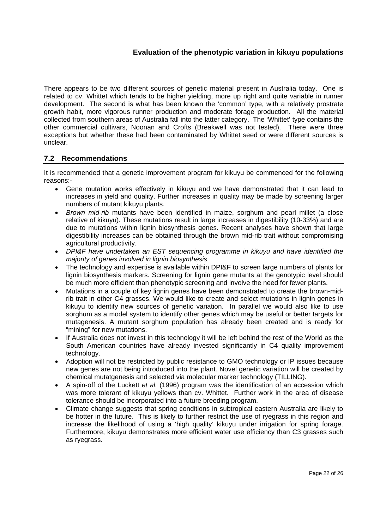There appears to be two different sources of genetic material present in Australia today. One is related to cv. Whittet which tends to be higher yielding, more up right and quite variable in runner development. The second is what has been known the 'common' type, with a relatively prostrate growth habit, more vigorous runner production and moderate forage production. All the material collected from southern areas of Australia fall into the latter category. The 'Whittet' type contains the other commercial cultivars, Noonan and Crofts (Breakwell was not tested). There were three exceptions but whether these had been contaminated by Whittet seed or were different sources is unclear.

#### **7.2 Recommendations**

It is recommended that a genetic improvement program for kikuyu be commenced for the following reasons:-

- Gene mutation works effectively in kikuyu and we have demonstrated that it can lead to increases in yield and quality. Further increases in quality may be made by screening larger numbers of mutant kikuyu plants.
- *Brown mid-rib* mutants have been identified in maize, sorghum and pearl millet (a close relative of kikuyu). These mutations result in large increases in digestibility (10-33%) and are due to mutations within lignin biosynthesis genes. Recent analyses have shown that large digestibility increases can be obtained through the brown mid-rib trait without compromising agricultural productivity.
- *DPI&F have undertaken an EST sequencing programme in kikuyu and have identified the majority of genes involved in lignin biosynthesis*
- The technology and expertise is available within DPI&F to screen large numbers of plants for lignin biosynthesis markers. Screening for lignin gene mutants at the genotypic level should be much more efficient than phenotypic screening and involve the need for fewer plants.
- Mutations in a couple of key lignin genes have been demonstrated to create the brown-midrib trait in other C4 grasses. We would like to create and select mutations in lignin genes in kikuyu to identify new sources of genetic variation. In parallel we would also like to use sorghum as a model system to identify other genes which may be useful or better targets for mutagenesis. A mutant sorghum population has already been created and is ready for "mining" for new mutations.
- If Australia does not invest in this technology it will be left behind the rest of the World as the South American countries have already invested significantly in C4 quality improvement technology.
- Adoption will not be restricted by public resistance to GMO technology or IP issues because new genes are not being introduced into the plant. Novel genetic variation will be created by chemical mutatgenesis and selected via molecular marker technology (TILLING).
- A spin-off of the Luckett *et al.* (1996) program was the identification of an accession which was more tolerant of kikuyu yellows than cv. Whittet. Further work in the area of disease tolerance should be incorporated into a future breeding program.
- Climate change suggests that spring conditions in subtropical eastern Australia are likely to be hotter in the future. This is likely to further restrict the use of ryegrass in this region and increase the likelihood of using a 'high quality' kikuyu under irrigation for spring forage. Furthermore, kikuyu demonstrates more efficient water use efficiency than C3 grasses such as ryegrass.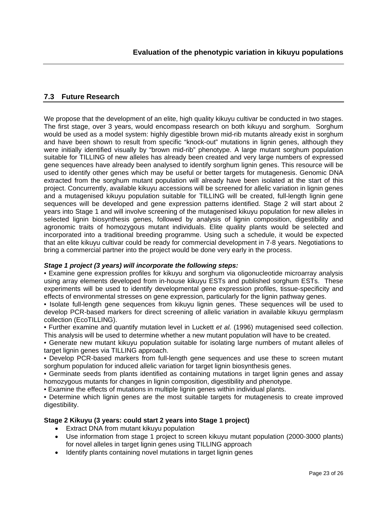#### **7.3 Future Research**

We propose that the development of an elite, high quality kikuyu cultivar be conducted in two stages. The first stage, over 3 years, would encompass research on both kikuyu and sorghum. Sorghum would be used as a model system: highly digestible brown mid-rib mutants already exist in sorghum and have been shown to result from specific "knock-out" mutations in lignin genes, although they were initially identified visually by "brown mid-rib" phenotype. A large mutant sorghum population suitable for TILLING of new alleles has already been created and very large numbers of expressed gene sequences have already been analysed to identify sorghum lignin genes. This resource will be used to identify other genes which may be useful or better targets for mutagenesis. Genomic DNA extracted from the sorghum mutant population will already have been isolated at the start of this project. Concurrently, available kikuyu accessions will be screened for allelic variation in lignin genes and a mutagenised kikuyu population suitable for TILLING will be created, full-length lignin gene sequences will be developed and gene expression patterns identified. Stage 2 will start about 2 years into Stage 1 and will involve screening of the mutagenised kikuyu population for new alleles in selected lignin biosynthesis genes, followed by analysis of lignin composition, digestibility and agronomic traits of homozygous mutant individuals. Elite quality plants would be selected and incorporated into a traditional breeding programme. Using such a schedule, it would be expected that an elite kikuyu cultivar could be ready for commercial development in 7-8 years. Negotiations to bring a commercial partner into the project would be done very early in the process.

#### *Stage 1 project (3 years) will incorporate the following steps:*

• Examine gene expression profiles for kikuyu and sorghum via oligonucleotide microarray analysis using array elements developed from in-house kikuyu ESTs and published sorghum ESTs. These experiments will be used to identify developmental gene expression profiles, tissue-specificity and effects of environmental stresses on gene expression, particularly for the lignin pathway genes.

• Isolate full-length gene sequences from kikuyu lignin genes. These sequences will be used to develop PCR-based markers for direct screening of allelic variation in available kikuyu germplasm collection (EcoTILLING).

• Further examine and quantify mutation level in Luckett *et al.* (1996) mutagenised seed collection. This analysis will be used to determine whether a new mutant population will have to be created.

• Generate new mutant kikuyu population suitable for isolating large numbers of mutant alleles of target lignin genes via TILLING approach.

• Develop PCR-based markers from full-length gene sequences and use these to screen mutant sorghum population for induced allelic variation for target lignin biosynthesis genes.

• Germinate seeds from plants identified as containing mutations in target lignin genes and assay homozygous mutants for changes in lignin composition, digestibility and phenotype.

• Examine the effects of mutations in multiple lignin genes within individual plants.

• Determine which lignin genes are the most suitable targets for mutagenesis to create improved digestibility.

#### **Stage 2 Kikuyu (3 years: could start 2 years into Stage 1 project)**

- Extract DNA from mutant kikuyu population
- Use information from stage 1 project to screen kikuyu mutant population (2000-3000 plants) for novel alleles in target lignin genes using TILLING approach
- Identify plants containing novel mutations in target lignin genes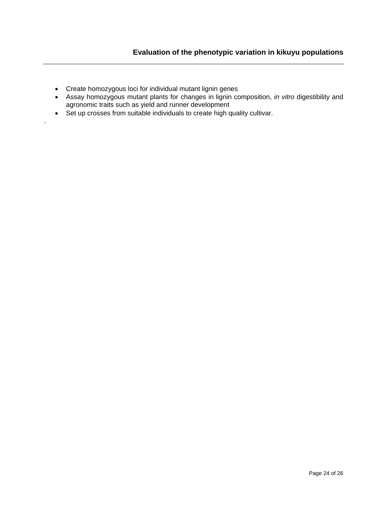Create homozygous loci for individual mutant lignin genes

.

- Assay homozygous mutant plants for changes in lignin composition, *in vitro* digestibility and agronomic traits such as yield and runner development
- Set up crosses from suitable individuals to create high quality cultivar.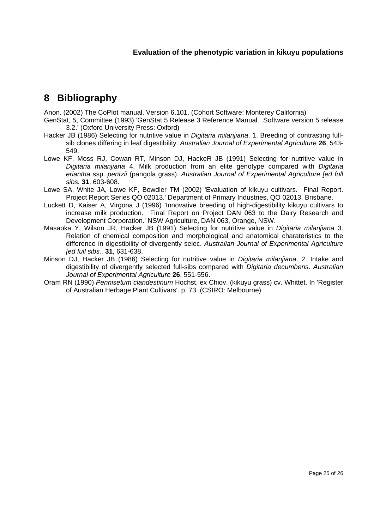## **8 Bibliography**

Anon. (2002) The CoPlot manual, Version 6.101. (Cohort Software: Monterey California)

- GenStat, 5, Committee (1993) 'GenStat 5 Release 3 Reference Manual. Software version 5 release 3.2.' (Oxford University Press: Oxford)
- Hacker JB (1986) Selecting for nutritive value in *Digitaria milanjiana*. 1. Breeding of contrasting fullsib clones differing in leaf digestibility. *Australian Journal of Experimental Agriculture* **26**, 543- 549.
- Lowe KF, Moss RJ, Cowan RT, Minson DJ, HackeR JB (1991) Selecting for nutritive value in *Digitaria milanjiana* 4. Milk production from an elite genotype compared with *Digitaria eriantha* ssp. *pentzii* (pangola grass). *Australian Journal of Experimental Agriculture [ed full sibs.* **31**, 603-608.
- Lowe SA, White JA, Lowe KF, Bowdler TM (2002) 'Evaluation of kikuyu cultivars. Final Report. Project Report Series QO 02013.' Department of Primary Industries, QO 02013, Brisbane.
- Luckett D, Kaiser A, Virgona J (1996) 'Innovative breeding of high-digestibility kikuyu cultivars to increase milk production. Final Report on Project DAN 063 to the Dairy Research and Development Corporation.' NSW Agriculture, DAN 063, Orange, NSW.
- Masaoka Y, Wilson JR, Hacker JB (1991) Selecting for nutritive value in *Digitaria milanjiana* 3. Relation of chemical composition and morphological and anatomical charateristics to the difference in digestibility of divergently selec. *Australian Journal of Experimental Agriculture [ed full sibs..* **31**, 631-638.
- Minson DJ, Hacker JB (1986) Selecting for nutritive value in *Digitaria milanjiana*. 2. Intake and digestibility of divergently selected full-sibs compared with *Digitaria decumbens*. *Australian Journal of Experimental Agriculture* **26**, 551-556.
- Oram RN (1990) *Pennisetum clandestinum* Hochst. ex Chiov. (kikuyu grass) cv. Whittet. In 'Register of Australian Herbage Plant Cultivars'. p. 73. (CSIRO: Melbourne)